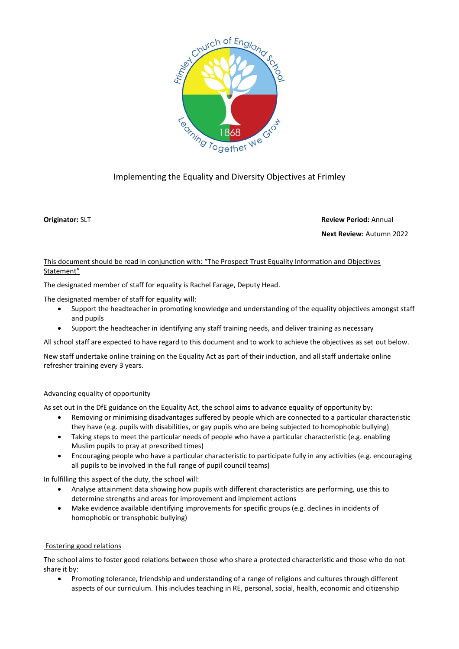

# Implementing the Equality and Diversity Objectives at Frimley

**Originator:** SLT **Review Period:** Annual **Next Review:** Autumn 2022

## This document should be read in conjunction with: "The Prospect Trust Equality Information and Objectives Statement"

The designated member of staff for equality is Rachel Farage, Deputy Head.

The designated member of staff for equality will:

- Support the headteacher in promoting knowledge and understanding of the equality objectives amongst staff and pupils
- Support the headteacher in identifying any staff training needs, and deliver training as necessary

All school staff are expected to have regard to this document and to work to achieve the objectives as set out below.

New staff undertake online training on the Equality Act as part of their induction, and all staff undertake online refresher training every 3 years.

## Advancing equality of opportunity

As set out in the DfE guidance on the Equality Act, the school aims to advance equality of opportunity by:

- Removing or minimising disadvantages suffered by people which are connected to a particular characteristic they have (e.g. pupils with disabilities, or gay pupils who are being subjected to homophobic bullying)
- Taking steps to meet the particular needs of people who have a particular characteristic (e.g. enabling Muslim pupils to pray at prescribed times)
- Encouraging people who have a particular characteristic to participate fully in any activities (e.g. encouraging all pupils to be involved in the full range of pupil council teams)

In fulfilling this aspect of the duty, the school will:

- Analyse attainment data showing how pupils with different characteristics are performing, use this to determine strengths and areas for improvement and implement actions
- Make evidence available identifying improvements for specific groups (e.g. declines in incidents of homophobic or transphobic bullying)

## Fostering good relations

The school aims to foster good relations between those who share a protected characteristic and those who do not share it by:

• Promoting tolerance, friendship and understanding of a range of religions and cultures through different aspects of our curriculum. This includes teaching in RE, personal, social, health, economic and citizenship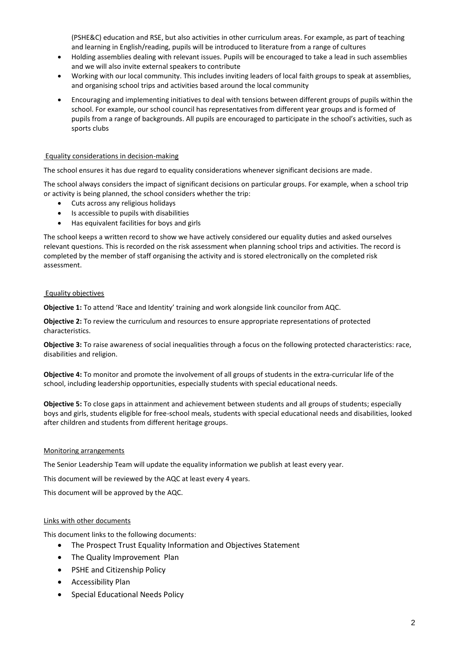(PSHE&C) education and RSE, but also activities in other curriculum areas. For example, as part of teaching and learning in English/reading, pupils will be introduced to literature from a range of cultures

- Holding assemblies dealing with relevant issues. Pupils will be encouraged to take a lead in such assemblies and we will also invite external speakers to contribute
- Working with our local community. This includes inviting leaders of local faith groups to speak at assemblies, and organising school trips and activities based around the local community
- Encouraging and implementing initiatives to deal with tensions between different groups of pupils within the school. For example, our school council has representatives from different year groups and is formed of pupils from a range of backgrounds. All pupils are encouraged to participate in the school's activities, such as sports clubs

### Equality considerations in decision-making

The school ensures it has due regard to equality considerations whenever significant decisions are made.

The school always considers the impact of significant decisions on particular groups. For example, when a school trip or activity is being planned, the school considers whether the trip:

- Cuts across any religious holidays
- Is accessible to pupils with disabilities
- Has equivalent facilities for boys and girls

The school keeps a written record to show we have actively considered our equality duties and asked ourselves relevant questions. This is recorded on the risk assessment when planning school trips and activities. The record is completed by the member of staff organising the activity and is stored electronically on the completed risk assessment.

### Equality objectives

**Objective 1:** To attend 'Race and Identity' training and work alongside link councilor from AQC.

**Objective 2:** To review the curriculum and resources to ensure appropriate representations of protected characteristics.

**Objective 3:** To raise awareness of social inequalities through a focus on the following protected characteristics: race, disabilities and religion.

**Objective 4:** To monitor and promote the involvement of all groups of students in the extra-curricular life of the school, including leadership opportunities, especially students with special educational needs.

**Objective 5:** To close gaps in attainment and achievement between students and all groups of students; especially boys and girls, students eligible for free-school meals, students with special educational needs and disabilities, looked after children and students from different heritage groups.

#### Monitoring arrangements

The Senior Leadership Team will update the equality information we publish at least every year.

This document will be reviewed by the AQC at least every 4 years.

This document will be approved by the AQC.

#### Links with other documents

This document links to the following documents:

- The Prospect Trust Equality Information and Objectives Statement
- The Quality Improvement Plan
- PSHE and Citizenship Policy
- Accessibility Plan
- Special Educational Needs Policy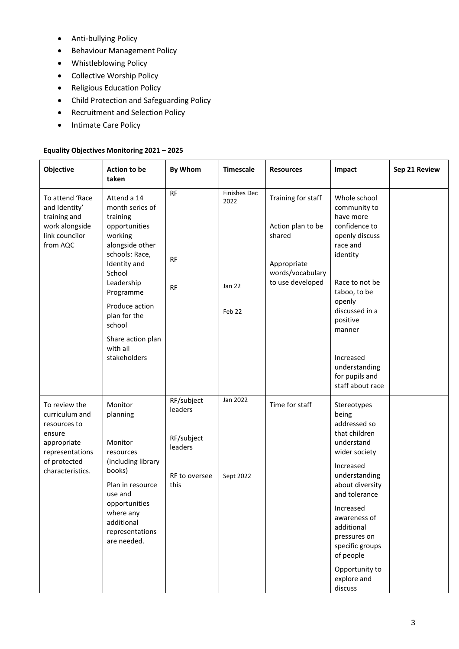- Anti-bullying Policy
- Behaviour Management Policy
- Whistleblowing Policy
- Collective Worship Policy
- Religious Education Policy
- Child Protection and Safeguarding Policy
- Recruitment and Selection Policy
- Intimate Care Policy

# **Equality Objectives Monitoring 2021 – 2025**

| Objective                                                                                                                       | <b>Action to be</b><br>taken                                                                                                                                                                                                                                  | <b>By Whom</b>                                                          | <b>Timescale</b>                                | <b>Resources</b>                                                                                         | Impact                                                                                                                                                                                                                                                                                        | Sep 21 Review |
|---------------------------------------------------------------------------------------------------------------------------------|---------------------------------------------------------------------------------------------------------------------------------------------------------------------------------------------------------------------------------------------------------------|-------------------------------------------------------------------------|-------------------------------------------------|----------------------------------------------------------------------------------------------------------|-----------------------------------------------------------------------------------------------------------------------------------------------------------------------------------------------------------------------------------------------------------------------------------------------|---------------|
| To attend 'Race<br>and Identity'<br>training and<br>work alongside<br>link councilor<br>from AQC                                | Attend a 14<br>month series of<br>training<br>opportunities<br>working<br>alongside other<br>schools: Race,<br>Identity and<br>School<br>Leadership<br>Programme<br>Produce action<br>plan for the<br>school<br>Share action plan<br>with all<br>stakeholders | RF<br><b>RF</b><br><b>RF</b>                                            | <b>Finishes Dec</b><br>2022<br>Jan 22<br>Feb 22 | Training for staff<br>Action plan to be<br>shared<br>Appropriate<br>words/vocabulary<br>to use developed | Whole school<br>community to<br>have more<br>confidence to<br>openly discuss<br>race and<br>identity<br>Race to not be<br>taboo, to be<br>openly<br>discussed in a<br>positive<br>manner<br>Increased<br>understanding<br>for pupils and<br>staff about race                                  |               |
| To review the<br>curriculum and<br>resources to<br>ensure<br>appropriate<br>representations<br>of protected<br>characteristics. | Monitor<br>planning<br>Monitor<br>resources<br>(including library<br>books)<br>Plan in resource<br>use and<br>opportunities<br>where any<br>additional<br>representations<br>are needed.                                                                      | RF/subject<br>leaders<br>RF/subject<br>leaders<br>RF to oversee<br>this | Jan 2022<br>Sept 2022                           | Time for staff                                                                                           | Stereotypes<br>being<br>addressed so<br>that children<br>understand<br>wider society<br>Increased<br>understanding<br>about diversity<br>and tolerance<br>Increased<br>awareness of<br>additional<br>pressures on<br>specific groups<br>of people<br>Opportunity to<br>explore and<br>discuss |               |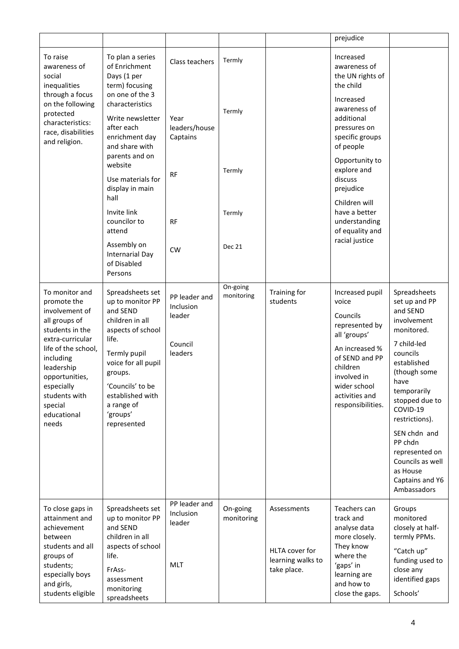|                                               |                                                                                                                                                                                                                                               |                                                                                                                                                                                                                                      |                                                            |                        |                                                                   | prejudice                                                                                                                                                                                    |                                                                                                                                                                                                                                                                                                                        |
|-----------------------------------------------|-----------------------------------------------------------------------------------------------------------------------------------------------------------------------------------------------------------------------------------------------|--------------------------------------------------------------------------------------------------------------------------------------------------------------------------------------------------------------------------------------|------------------------------------------------------------|------------------------|-------------------------------------------------------------------|----------------------------------------------------------------------------------------------------------------------------------------------------------------------------------------------|------------------------------------------------------------------------------------------------------------------------------------------------------------------------------------------------------------------------------------------------------------------------------------------------------------------------|
|                                               |                                                                                                                                                                                                                                               |                                                                                                                                                                                                                                      |                                                            |                        |                                                                   |                                                                                                                                                                                              |                                                                                                                                                                                                                                                                                                                        |
|                                               | To raise<br>awareness of<br>social<br>inequalities                                                                                                                                                                                            | To plan a series<br>of Enrichment<br>Days (1 per<br>term) focusing                                                                                                                                                                   | Class teachers                                             | Termly                 |                                                                   | Increased<br>awareness of<br>the UN rights of<br>the child                                                                                                                                   |                                                                                                                                                                                                                                                                                                                        |
| through a focus<br>protected<br>and religion. | on the following<br>characteristics:<br>race, disabilities                                                                                                                                                                                    | on one of the 3<br>characteristics<br>Write newsletter<br>after each<br>enrichment day<br>and share with                                                                                                                             | Year<br>leaders/house<br>Captains                          | Termly                 |                                                                   | Increased<br>awareness of<br>additional<br>pressures on<br>specific groups<br>of people                                                                                                      |                                                                                                                                                                                                                                                                                                                        |
|                                               |                                                                                                                                                                                                                                               | parents and on<br>website<br>Use materials for<br>display in main                                                                                                                                                                    | <b>RF</b>                                                  | Termly                 |                                                                   | Opportunity to<br>explore and<br>discuss<br>prejudice                                                                                                                                        |                                                                                                                                                                                                                                                                                                                        |
|                                               |                                                                                                                                                                                                                                               | hall                                                                                                                                                                                                                                 |                                                            |                        |                                                                   | Children will                                                                                                                                                                                |                                                                                                                                                                                                                                                                                                                        |
|                                               |                                                                                                                                                                                                                                               | Invite link<br>councilor to<br>attend                                                                                                                                                                                                | <b>RF</b>                                                  | Termly                 |                                                                   | have a better<br>understanding<br>of equality and                                                                                                                                            |                                                                                                                                                                                                                                                                                                                        |
|                                               |                                                                                                                                                                                                                                               | Assembly on<br>Internarial Day<br>of Disabled<br>Persons                                                                                                                                                                             | <b>CW</b>                                                  | <b>Dec 21</b>          |                                                                   | racial justice                                                                                                                                                                               |                                                                                                                                                                                                                                                                                                                        |
|                                               | To monitor and<br>promote the<br>involvement of<br>all groups of<br>students in the<br>extra-curricular<br>life of the school,<br>including<br>leadership<br>opportunities,<br>especially<br>students with<br>special<br>educational<br>needs | Spreadsheets set<br>up to monitor PP<br>and SEND<br>children in all<br>aspects of school<br>life.<br>Termly pupil<br>voice for all pupil<br>groups.<br>'Councils' to be<br>established with<br>a range of<br>'groups'<br>represented | PP leader and<br>Inclusion<br>leader<br>Council<br>leaders | On-going<br>monitoring | Training for<br>students                                          | Increased pupil<br>voice<br>Councils<br>represented by<br>all 'groups'<br>An increased %<br>of SEND and PP<br>children<br>involved in<br>wider school<br>activities and<br>responsibilities. | Spreadsheets<br>set up and PP<br>and SEND<br>involvement<br>monitored.<br>7 child-led<br>councils<br>established<br>(though some<br>have<br>temporarily<br>stopped due to<br>COVID-19<br>restrictions).<br>SEN chdn and<br>PP chdn<br>represented on<br>Councils as well<br>as House<br>Captains and Y6<br>Ambassadors |
|                                               | To close gaps in<br>attainment and<br>achievement<br>between<br>students and all<br>groups of<br>students;<br>especially boys<br>and girls,<br>students eligible                                                                              | Spreadsheets set<br>up to monitor PP<br>and SEND<br>children in all<br>aspects of school<br>life.<br>FrAss-<br>assessment<br>monitoring<br>spreadsheets                                                                              | PP leader and<br>Inclusion<br>leader<br><b>MLT</b>         | On-going<br>monitoring | Assessments<br>HLTA cover for<br>learning walks to<br>take place. | Teachers can<br>track and<br>analyse data<br>more closely.<br>They know<br>where the<br>'gaps' in<br>learning are<br>and how to<br>close the gaps.                                           | Groups<br>monitored<br>closely at half-<br>termly PPMs.<br>"Catch up"<br>funding used to<br>close any<br>identified gaps<br>Schools'                                                                                                                                                                                   |